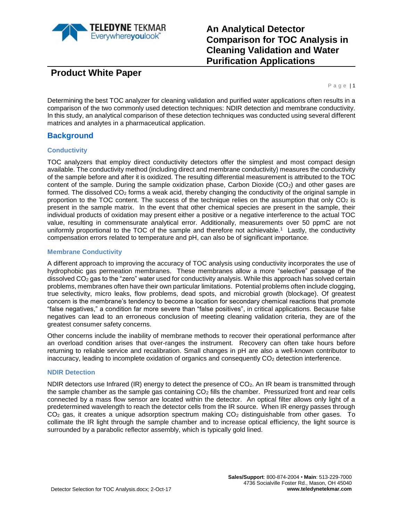

# **An Analytical Detector Comparison for TOC Analysis in Cleaning Validation and Water Purification Applications**

**Product White Paper**

Page | 1

Determining the best TOC analyzer for cleaning validation and purified water applications often results in a comparison of the two commonly used detection techniques: NDIR detection and membrane conductivity. In this study, an analytical comparison of these detection techniques was conducted using several different matrices and analytes in a pharmaceutical application.

### **Background**

#### **Conductivity**

TOC analyzers that employ direct conductivity detectors offer the simplest and most compact design available. The conductivity method (including direct and membrane conductivity) measures the conductivity of the sample before and after it is oxidized. The resulting differential measurement is attributed to the TOC content of the sample. During the sample oxidization phase, Carbon Dioxide  $(CO<sub>2</sub>)$  and other gases are formed. The dissolved  $CO<sub>2</sub>$  forms a weak acid, thereby changing the conductivity of the original sample in proportion to the TOC content. The success of the technique relies on the assumption that only  $CO<sub>2</sub>$  is present in the sample matrix. In the event that other chemical species are present in the sample, their individual products of oxidation may present either a positive or a negative interference to the actual TOC value, resulting in commensurate analytical error. Additionally, measurements over 50 ppmC are not uniformly proportional to the TOC of the sample and therefore not achievable. <sup>1</sup> Lastly, the conductivity compensation errors related to temperature and pH, can also be of significant importance.

#### **Membrane Conductivity**

A different approach to improving the accuracy of TOC analysis using conductivity incorporates the use of hydrophobic gas permeation membranes. These membranes allow a more "selective" passage of the dissolved CO<sub>2</sub> gas to the "zero" water used for conductivity analysis. While this approach has solved certain problems, membranes often have their own particular limitations. Potential problems often include clogging, true selectivity, micro leaks, flow problems, dead spots, and microbial growth (blockage). Of greatest concern is the membrane's tendency to become a location for secondary chemical reactions that promote "false negatives," a condition far more severe than "false positives", in critical applications. Because false negatives can lead to an erroneous conclusion of meeting cleaning validation criteria, they are of the greatest consumer safety concerns.

Other concerns include the inability of membrane methods to recover their operational performance after an overload condition arises that over-ranges the instrument. Recovery can often take hours before returning to reliable service and recalibration. Small changes in pH are also a well-known contributor to inaccuracy, leading to incomplete oxidation of organics and consequently CO<sub>2</sub> detection interference.

#### **NDIR Detection**

NDIR detectors use Infrared (IR) energy to detect the presence of  $CO<sub>2</sub>$ . An IR beam is transmitted through the sample chamber as the sample gas containing CO<sub>2</sub> fills the chamber. Pressurized front and rear cells connected by a mass flow sensor are located within the detector. An optical filter allows only light of a predetermined wavelength to reach the detector cells from the IR source. When IR energy passes through  $CO<sub>2</sub>$  gas, it creates a unique adsorption spectrum making  $CO<sub>2</sub>$  distinguishable from other gases. To collimate the IR light through the sample chamber and to increase optical efficiency, the light source is surrounded by a parabolic reflector assembly, which is typically gold lined.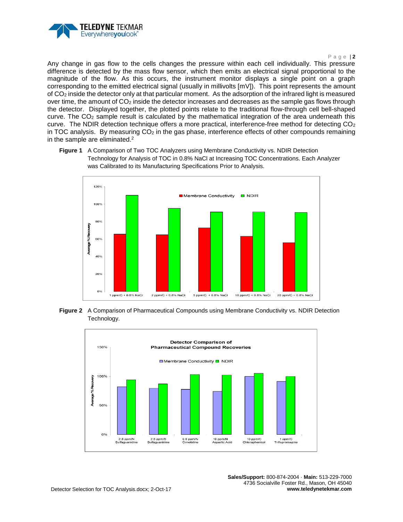

#### P age | **2**

Any change in gas flow to the cells changes the pressure within each cell individually. This pressure difference is detected by the mass flow sensor, which then emits an electrical signal proportional to the magnitude of the flow. As this occurs, the instrument monitor displays a single point on a graph corresponding to the emitted electrical signal (usually in millivolts [mV]). This point represents the amount of CO<sup>2</sup> inside the detector only at that particular moment. As the adsorption of the infrared light is measured over time, the amount of CO<sub>2</sub> inside the detector increases and decreases as the sample gas flows through the detector. Displayed together, the plotted points relate to the traditional flow-through cell bell-shaped curve. The  $CO<sub>2</sub>$  sample result is calculated by the mathematical integration of the area underneath this curve. The NDIR detection technique offers a more practical, interference-free method for detecting  $CO<sub>2</sub>$ in TOC analysis. By measuring  $CO<sub>2</sub>$  in the gas phase, interference effects of other compounds remaining in the sample are eliminated. 2

<span id="page-1-0"></span>**Figure 1** A Comparison of Two TOC Analyzers using Membrane Conductivity vs. NDIR Detection Technology for Analysis of TOC in 0.8% NaCl at Increasing TOC Concentrations. Each Analyzer was Calibrated to its Manufacturing Specifications Prior to Analysis.



<span id="page-1-1"></span>**Figure 2** A Comparison of Pharmaceutical Compounds using Membrane Conductivity vs. NDIR Detection Technology.

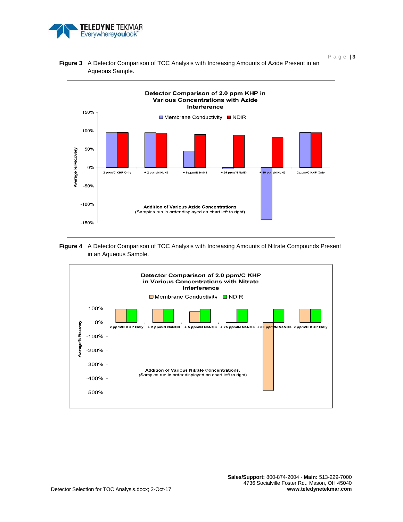

P age | **3**



<span id="page-2-0"></span>**Figure 3** A Detector Comparison of TOC Analysis with Increasing Amounts of Azide Present in an Aqueous Sample.

<span id="page-2-1"></span>